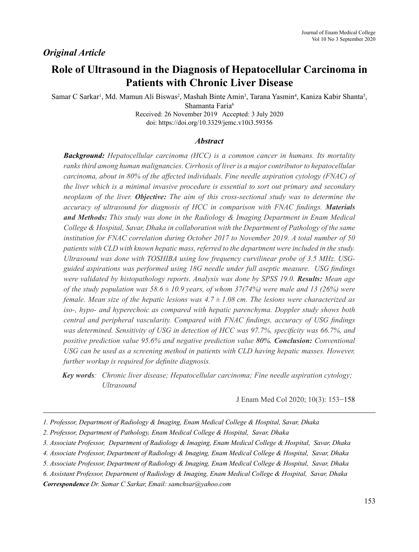## *Original Article*

# **Role of Ultrasound in the Diagnosis of Hepatocellular Carcinoma in Patients with Chronic Liver Disease**

Samar C Sarkar<sup>1</sup>, Md. Mamun Ali Biswas<sup>2</sup>, Mashah Binte Amin<sup>3</sup>, Tarana Yasmin<sup>4</sup>, Kaniza Kabir Shanta<sup>5</sup>, Shamanta Faria<sup>6</sup>

Received: 26 November 2019 Accepted: 3 July 2020 doi: https://doi.org/10.3329/jemc.v10i3.59356

#### *Abstract*

*Background: Hepatocellular carcinoma (HCC) is a common cancer in humans. Its mortality ranks third among human malignancies. Cirrhosis of liver is a major contributor to hepatocellular carcinoma, about in 80% of the affected individuals. Fine needle aspiration cytology (FNAC) of the liver which is a minimal invasive procedure is essential to sort out primary and secondary neoplasm of the liver. Objective: The aim of this cross-sectional study was to determine the accuracy of ultrasound for diagnosis of HCC in comparison with FNAC findings. Materials and Methods: This study was done in the Radiology & Imaging Department in Enam Medical College & Hospital, Savar, Dhaka in collaboration with the Department of Pathology of the same institution for FNAC correlation during October 2017 to November 2019. A total number of 50 patients with CLD with known hepatic mass, referred to the department were included in the study. Ultrasound was done with TOSHIBA using low frequency curvilinear probe of 3.5 MHz. USGguided aspirations was performed using 18G needle under full aseptic measure. USG findings were validated by histopathology reports. Analysis was done by SPSS 19.0. Results: Mean age of the study population was*  $58.6 \pm 10.9$  *years, of whom 37(74%) were male and 13 (26%) were female. Mean size of the hepatic lesions was 4.7 ± 1.08 cm. The lesions were characterized as iso-, hypo- and hyperechoic as compared with hepatic parenchyma. Doppler study shows both central and peripheral vascularity. Compared with FNAC findings, accuracy of USG findings was determined. Sensitivity of USG in detection of HCC was 97.7%, specificity was 66.7%, and positive prediction value 95.6% and negative prediction value 80%. Conclusion: Conventional USG can be used as a screening method in patients with CLD having hepatic masses. However, further workup is required for definite diagnosis.*

*Key words: Chronic liver disease; Hepatocellular carcinoma; Fine needle aspiration cytology; Ultrasound*

J Enam Med Col 2020; 10(3): 153−158

*Correspondence Dr. Samar C Sarkar, Email: samchsar@yahoo.com* 

*<sup>1.</sup> Professor, Department of Radiology & Imaging, Enam Medical College & Hospital, Savar, Dhaka*

*<sup>2.</sup> Professor, Department of Pathology, Enam Medical College & Hospital, Savar, Dhaka* 

*<sup>3.</sup> Associate Professor, Department of Radiology & Imaging, Enam Medical College & Hospital, Savar, Dhaka*

*<sup>4.</sup> Associate Professor, Department of Radiology & Imaging, Enam Medical College & Hospital, Savar, Dhaka* 

*<sup>5.</sup> Associate Professor, Department of Radiology & Imaging, Enam Medical College & Hospital, Savar, Dhaka* 

*<sup>6.</sup> Assistant Professor, Department of Radiology & Imaging, Enam Medical College & Hospital, Savar, Dhaka*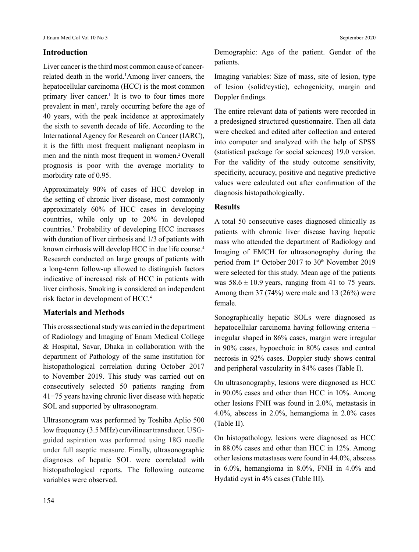### **Introduction**

Liver cancer is the third most common cause of cancerrelated death in the world.<sup>1</sup>Among liver cancers, the hepatocellular carcinoma (HCC) is the most common primary liver cancer.<sup>1</sup> It is two to four times more prevalent in men<sup>1</sup>, rarely occurring before the age of 40 years, with the peak incidence at approximately the sixth to seventh decade of life. According to the International Agency for Research on Cancer (IARC), it is the fifth most frequent malignant neoplasm in men and the ninth most frequent in women.<sup>2</sup> Overall prognosis is poor with the average mortality to morbidity rate of 0.95.

Approximately 90% of cases of HCC develop in the setting of chronic liver disease, most commonly approximately 60% of HCC cases in developing countries, while only up to 20% in developed countries.3 Probability of developing HCC increases with duration of liver cirrhosis and 1/3 of patients with known cirrhosis will develop HCC in due life course.<sup>4</sup> Research conducted on large groups of patients with a long-term follow-up allowed to distinguish factors indicative of increased risk of HCC in patients with liver cirrhosis. Smoking is considered an independent risk factor in development of HCC.4

### **Materials and Methods**

This cross sectional study was carried in the department of Radiology and Imaging of Enam Medical College & Hospital, Savar, Dhaka in collaboration with the department of Pathology of the same institution for histopathological correlation during October 2017 to November 2019. This study was carried out on consecutively selected 50 patients ranging from 41−75 years having chronic liver disease with hepatic SOL and supported by ultrasonogram.

Ultrasonogram was performed by Toshiba Aplio 500 low frequency (3.5 MHz) curvilinear transducer. USGguided aspiration was performed using 18G needle under full aseptic measure. Finally, ultrasonographic diagnoses of hepatic SOL were correlated with histopathological reports. The following outcome variables were observed.

Demographic: Age of the patient. Gender of the patients.

Imaging variables: Size of mass, site of lesion, type of lesion (solid/cystic), echogenicity, margin and Doppler findings.

The entire relevant data of patients were recorded in a predesigned structured questionnaire. Then all data were checked and edited after collection and entered into computer and analyzed with the help of SPSS (statistical package for social sciences) 19.0 version. For the validity of the study outcome sensitivity, specificity, accuracy, positive and negative predictive values were calculated out after confirmation of the diagnosis histopathologically.

#### **Results**

A total 50 consecutive cases diagnosed clinically as patients with chronic liver disease having hepatic mass who attended the department of Radiology and Imaging of EMCH for ultrasonography during the period from  $1<sup>st</sup>$  October 2017 to  $30<sup>th</sup>$  November 2019 were selected for this study. Mean age of the patients was  $58.6 \pm 10.9$  years, ranging from 41 to 75 years. Among them 37 (74%) were male and 13 (26%) were female.

Sonographically hepatic SOLs were diagnosed as hepatocellular carcinoma having following criteria – irregular shaped in 86% cases, margin were irregular in 90% cases, hypoechoic in 80% cases and central necrosis in 92% cases. Doppler study shows central and peripheral vascularity in 84% cases (Table I).

On ultrasonography, lesions were diagnosed as HCC in 90.0% cases and other than HCC in 10%. Among other lesions FNH was found in 2.0%, metastasis in 4.0%, abscess in 2.0%, hemangioma in 2.0% cases (Table II).

On histopathology, lesions were diagnosed as HCC in 88.0% cases and other than HCC in 12%. Among other lesions metastases were found in 44.0%, abscess in 6.0%, hemangioma in 8.0%, FNH in 4.0% and Hydatid cyst in 4% cases (Table III).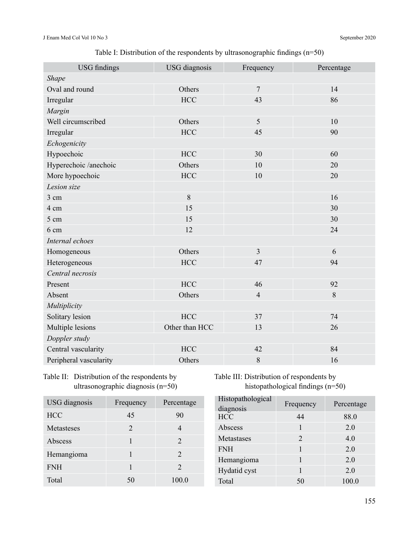## Table I: Distribution of the respondents by ultrasonographic findings (n=50)

| <b>USG</b> diagnosis | Frequency      | Percentage |
|----------------------|----------------|------------|
|                      |                |            |
| Others               | $\overline{7}$ | 14         |
| <b>HCC</b>           | 43             | 86         |
|                      |                |            |
| Others               | 5              | 10         |
| <b>HCC</b>           | 45             | 90         |
|                      |                |            |
| <b>HCC</b>           | 30             | 60         |
| Others               | 10             | 20         |
| <b>HCC</b>           | 10             | 20         |
|                      |                |            |
| 8                    |                | 16         |
| 15                   |                | 30         |
| 15                   |                | 30         |
| 12                   |                | 24         |
|                      |                |            |
| Others               | $\overline{3}$ | 6          |
| <b>HCC</b>           | 47             | 94         |
|                      |                |            |
| <b>HCC</b>           | 46             | 92         |
| Others               | $\overline{4}$ | 8          |
|                      |                |            |
| <b>HCC</b>           | 37             | 74         |
| Other than HCC       | 13             | 26         |
|                      |                |            |
| <b>HCC</b>           | 42             | 84         |
| Others               | $\,$ $\,$      | 16         |
|                      |                |            |

Table II: Distribution of the respondents by ultrasonographic diagnosis (n=50)

| Table III: Distribution of respondents by |
|-------------------------------------------|
| histopathological findings $(n=50)$       |

| USG diagnosis     | Frequency      | Percentage |
|-------------------|----------------|------------|
| <b>HCC</b>        | 45             | 90         |
| <b>Metasteses</b> | $\overline{2}$ |            |
| Abscess           |                | 2          |
| Hemangioma        |                | 2          |
| <b>FNH</b>        |                | 2          |
| Total             | 50             | 100.0      |

| Frequency | Percentage |
|-----------|------------|
| 44        | 88.0       |
|           | 2.0        |
| 2         | 4.0        |
|           | 2.0        |
|           | 2.0        |
|           | 2.0        |
| 50        | 100.0      |
|           |            |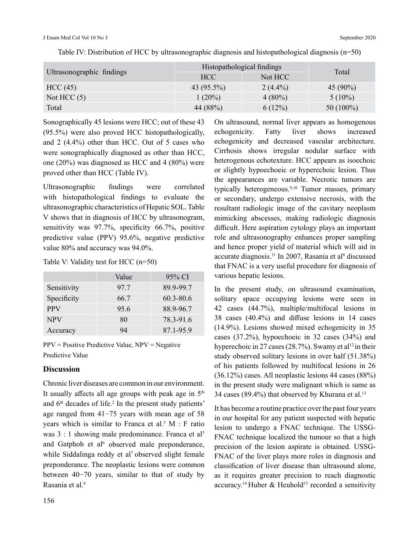| Ultrasonographic findings | Histopathological findings |            | Total        |
|---------------------------|----------------------------|------------|--------------|
|                           | HCC                        | Not HCC    |              |
| HCC(45)                   | 43 $(95.5\%)$              | $2(4.4\%)$ | 45 $(90\%)$  |
| Not HCC $(5)$             | $1(20\%)$                  | $4(80\%)$  | $5(10\%)$    |
| Total                     | 44 (88%)                   | 6(12%)     | 50 $(100\%)$ |

Table IV: Distribution of HCC by ultrasonographic diagnosis and histopathological diagnosis (n=50)

Sonographically 45 lesions were HCC; out of these 43 (95.5%) were also proved HCC histopathologically, and 2 (4.4%) other than HCC. Out of 5 cases who were sonographically diagnosed as other than HCC, one (20%) was diagnosed as HCC and 4 (80%) were proved other than HCC (Table IV).

Ultrasonographic findings were correlated with histopathological findings to evaluate the ultrasonographic characteristics of Hepatic SOL. Table V shows that in diagnosis of HCC by ultrasonogram, sensitivity was 97.7%, specificity 66.7%, positive predictive value (PPV) 95.6%, negative predictive value 80% and accuracy was 94.0%.

Table V: Validity test for HCC (n=50)

|             | Value | 95% CI    |
|-------------|-------|-----------|
| Sensitivity | 97.7  | 89.9-99.7 |
| Specificity | 66.7  | 60.3-80.6 |
| <b>PPV</b>  | 95.6  | 88.9-96.7 |
| <b>NPV</b>  | 80    | 78.3-91.6 |
| Accuracy    | 94    | 87.1-95.9 |

 $PPV = Positive Predictive Value, NPV = Negative$ Predictive Value

#### **Discussion**

Chronic liver diseases are common in our environment. It usually affects all age groups with peak age in  $5<sup>th</sup>$ and  $6<sup>th</sup>$  decades of life.<sup>2</sup> In the present study patients' age ranged from 41−75 years with mean age of 58 years which is similar to Franca et al.<sup>5</sup>  $M : F$  ratio was 3 : 1 showing male predominance. Franca et al<sup>5</sup> and Gatphoh et al<sup>6</sup> observed male preponderance, while Siddalinga reddy et al<sup>7</sup> observed slight female preponderance. The neoplastic lesions were common between 40−70 years, similar to that of study by Rasania et al.<sup>8</sup>

On ultrasound, normal liver appears as homogenous echogenicity. Fatty liver shows increased echogenicity and decreased vascular architecture. Cirrhosis shows irregular nodular surface with heterogenous echotexture. HCC appears as isoechoic or slightly hypoechoeic or hyperechoic lesion. Thus the appearances are variable. Necrotic tumors are typically heterogeneous.<sup>9,10</sup> Tumor masses, primary or secondary, undergo extensive necrosis, with the resultant radiologic image of the cavitary neoplasm mimicking abscesses, making radiologic diagnosis difficult. Here aspiration cytology plays an important role and ultrasonography enhances proper sampling and hence proper yield of material which will aid in accurate diagnosis.11 In 2007, Rasania et al<sup>8</sup> discussed that FNAC is a very useful procedure for diagnosis of various hepatic lesions.

In the present study, on ultrasound examination, solitary space occupying lesions were seen in 42 cases (44.7%), multiple/multifocal lesions in 38 cases (40.4%) and diffuse lesions in 14 cases (14.9%). Lesions showed mixed echogenicity in 35 cases (37.2%), hypoechoeic in 32 cases (34%) and hyperechoic in 27 cases (28.7%). Swamy et al<sup>12</sup> in their study observed solitary lesions in over half (51.38%) of his patients followed by multifocal lesions in 26 (36.12%) cases. All neoplastic lesions 44 cases (88%) in the present study were malignant which is same as 34 cases (89.4%) that observed by Khurana et al.<sup>13</sup>

It has become a routine practice over the past four years in our hospital for any patient suspected with hepatic lesion to undergo a FNAC technique. The USSG-FNAC technique localized the tumour so that a high precision of the lesion aspirate is obtained. USSG-FNAC of the liver plays more roles in diagnosis and classification of liver disease than ultrasound alone, as it requires greater precision to reach diagnostic accuracy.<sup>14</sup> Huber & Heuhold<sup>15</sup> recorded a sensitivity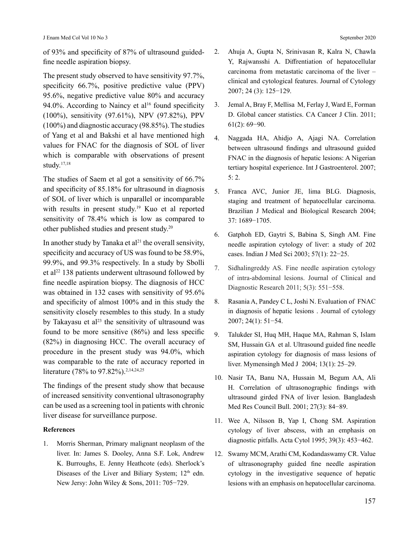of 93% and specificity of 87% of ultrasound guidedfine needle aspiration biopsy.

The present study observed to have sensitivity 97.7%, specificity 66.7%, positive predictive value (PPV) 95.6%, negative predictive value 80% and accuracy 94.0%. According to Naincy et al<sup>16</sup> found specificity (100%), sensitivity (97.61%), NPV (97.82%), PPV (100%) and diagnostic accuracy (98.85%). The studies of Yang et al and Bakshi et al have mentioned high values for FNAC for the diagnosis of SOL of liver which is comparable with observations of present study.17,18

The studies of Saem et al got a sensitivity of 66.7% and specificity of 85.18% for ultrasound in diagnosis of SOL of liver which is unparallel or incomparable with results in present study.<sup>19</sup> Kuo et al reported sensitivity of 78.4% which is low as compared to other published studies and present study.20

In another study by Tanaka et al<sup>21</sup> the overall sensivity, specificity and accuracy of US was found to be 58.9%, 99.9%, and 99.3% respectively. In a study by Sbolli et al<sup>22</sup> 138 patients underwent ultrasound followed by fine needle aspiration biopsy. The diagnosis of HCC was obtained in 132 cases with sensitivity of 95.6% and specificity of almost 100% and in this study the sensitivity closely resembles to this study. In a study by Takayasu et  $al^{23}$  the sensitivity of ultrasound was found to be more sensitive (86%) and less specific (82%) in diagnosing HCC. The overall accuracy of procedure in the present study was 94.0%, which was comparable to the rate of accuracy reported in literature (78% to 97.82%).<sup>2,14,24,25</sup>

The findings of the present study show that because of increased sensitivity conventional ultrasonography can be used as a screening tool in patients with chronic liver disease for surveillance purpose.

#### **References**

1. Morris Sherman, Primary malignant neoplasm of the liver. In: James S. Dooley, Anna S.F. Lok, Andrew K. Burroughs, E. Jenny Heathcote (eds). Sherlock's Diseases of the Liver and Biliary System;  $12<sup>th</sup>$  edn. New Jersy: John Wiley & Sons, 2011: 705−729.

- 2. Ahuja A, Gupta N, Srinivasan R, Kalra N, Chawla Y, Rajwansshi A. Diffrentiation of hepatocellular carcinoma from metastatic carcinoma of the liver – clinical and cytological features. Journal of Cytology 2007; 24 (3): 125−129.
- 3. Jemal A, Bray F, Mellisa M, Ferlay J, Ward E, Forman D. Global cancer statistics. CA Cancer J Clin. 2011; 61(2): 69−90.
- 4. Naggada HA, Ahidjo A, Ajagi NA. Correlation between ultrasound findings and ultrasound guided FNAC in the diagnosis of hepatic lesions: A Nigerian tertiary hospital experience. Int J Gastroenterol. 2007; 5: 2.
- 5. Franca AVC, Junior JE, lima BLG. Diagnosis, staging and treatment of hepatocellular carcinoma. Brazilian J Medical and Biological Research 2004; 37: 1689−1705.
- 6. Gatphoh ED, Gaytri S, Babina S, Singh AM. Fine needle aspiration cytology of liver: a study of 202 cases. Indian J Med Sci 2003; 57(1): 22−25.
- 7. Sidhalingreddy AS. Fine needle aspiration cytology of intra-abdominal lesions. Journal of Clinical and Diagnostic Research 2011; 5(3): 551−558.
- 8. Rasania A, Pandey C L, Joshi N. Evaluation of FNAC in diagnosis of hepatic lesions . Journal of cytology 2007; 24(1): 51−54.
- 9. Talukder SI, Huq MH, Haque MA, Rahman S, Islam SM, Hussain GA et al. Ultrasound guided fine needle aspiration cytology for diagnosis of mass lesions of liver. Mymensingh Med J 2004; 13(1): 25–29.
- 10. Nasir TA, Banu NA, Hussain M, Begum AA, Ali H. Correlation of ultrasonographic findings with ultrasound girded FNA of liver lesion. Bangladesh Med Res Council Bull. 2001; 27(3): 84−89.
- 11. Wee A, Nilsson B, Yap I, Chong SM. Aspiration cytology of liver abscess, with an emphasis on diagnostic pitfalls. Acta Cytol 1995; 39(3): 453−462.
- 12. Swamy MCM, Arathi CM, Kodandaswamy CR. Value of ultrasonography guided fine needle aspiration cytology in the investigative sequence of hepatic lesions with an emphasis on hepatocellular carcinoma.